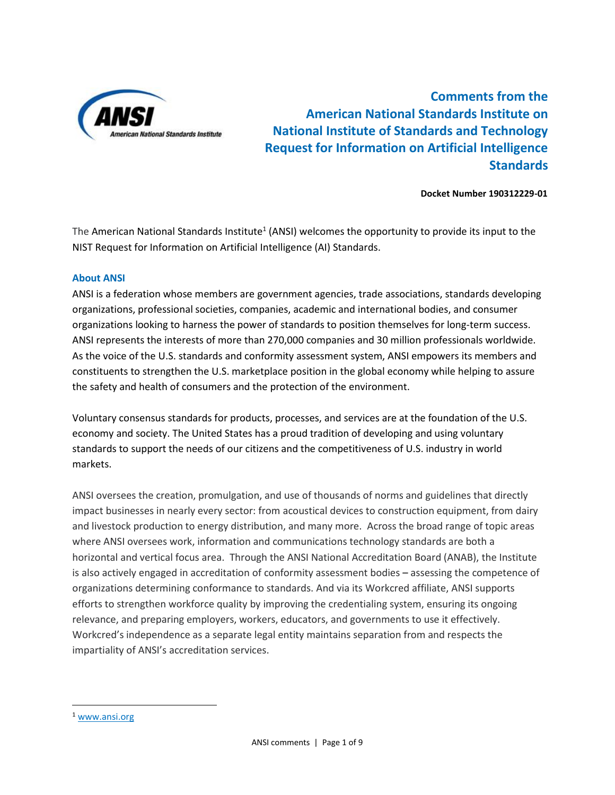

**Comments from the American National Standards Institute on National Institute of Standards and Technology Request for Information on Artificial Intelligence Standards**

## **Docket Number 190312229-01**

The American National Standards Institute<sup>1</sup> (ANSI) welcomes the opportunity to provide its input to the NIST Request for Information on Artificial Intelligence (AI) Standards.

## **About ANSI**

ANSI is a federation whose members are government agencies, trade associations, standards developing organizations, professional societies, companies, academic and international bodies, and consumer organizations looking to harness the power of standards to position themselves for long-term success. ANSI represents the interests of more than 270,000 companies and 30 million professionals worldwide. As the voice of the U.S. standards and conformity assessment system, ANSI empowers its members and constituents to strengthen the U.S. marketplace position in the global economy while helping to assure the safety and health of consumers and the protection of the environment.

Voluntary consensus standards for products, processes, and services are at the foundation of the U.S. economy and society. The United States has a proud tradition of developing and using voluntary standards to support the needs of our citizens and the competitiveness of U.S. industry in world markets.

ANSI oversees the creation, promulgation, and use of thousands of norms and guidelines that directly impact businesses in nearly every sector: from acoustical devices to construction equipment, from dairy and livestock production to energy distribution, and many more. Across the broad range of topic areas where ANSI oversees work, information and communications technology standards are both a horizontal and vertical focus area. Through the ANSI National Accreditation Board (ANAB), the Institute is also actively engaged in accreditation of conformity assessment bodies – assessing the competence of organizations determining conformance to standards. And via its Workcred affiliate, ANSI supports efforts to strengthen workforce quality by improving the credentialing system, ensuring its ongoing relevance, and preparing employers, workers, educators, and governments to use it effectively. Workcred's independence as a separate legal entity maintains separation from and respects the impartiality of ANSI's accreditation services.

 $\overline{\phantom{a}}$ 

<sup>1</sup> [www.ansi.org](http://www.ansi.org/)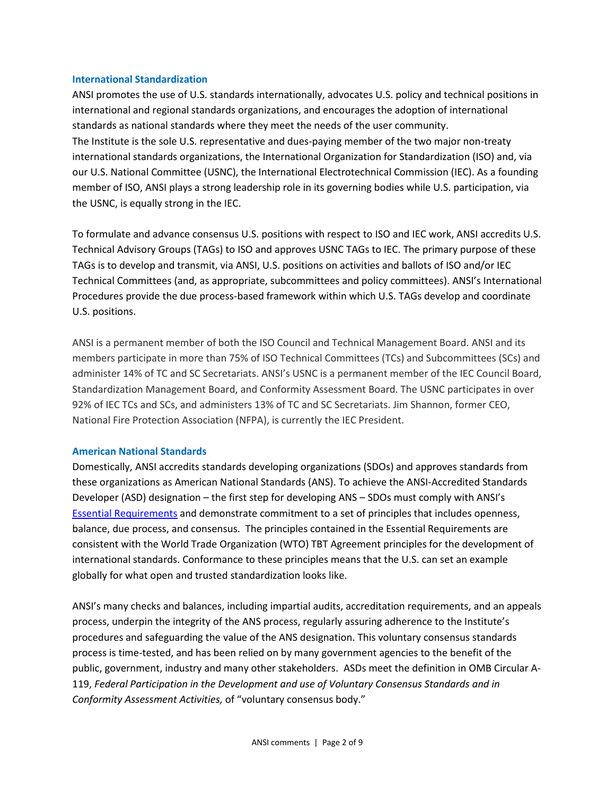## **International Standardization**

ANSI promotes the use of U.S. standards internationally, advocates U.S. policy and technical positions in international and regional standards organizations, and encourages the adoption of international standards as national standards where they meet the needs of the user community. The Institute is the sole U.S. representative and dues-paying member of the two major non-treaty international standards organizations, the International Organization for Standardization (ISO) and, via our U.S. National Committee (USNC), the International Electrotechnical Commission (IEC). As a founding member of ISO, ANSI plays a strong leadership role in its governing bodies while U.S. participation, via the USNC, is equally strong in the IEC.

To formulate and advance consensus U.S. positions with respect to ISO and IEC work, ANSI accredits U.S. Technical Advisory Groups (TAGs) to ISO and approves USNC TAGs to IEC. The primary purpose of these TAGs is to develop and transmit, via ANSI, U.S. positions on activities and ballots of ISO and/or IEC Technical Committees (and, as appropriate, subcommittees and policy committees). ANSI's International Procedures provide the due process-based framework within which U.S. TAGs develop and coordinate U.S. positions.

ANSI is a permanent member of both the ISO Council and Technical Management Board. ANSI and its members participate in more than 75% of ISO Technical Committees (TCs) and Subcommittees (SCs) and administer 14% of TC and SC Secretariats. ANSI's USNC is a permanent member of the IEC Council Board, Standardization Management Board, and Conformity Assessment Board. The USNC participates in over 92% of IEC TCs and SCs, and administers 13% of TC and SC Secretariats. Jim Shannon, former CEO, National Fire Protection Association (NFPA), is currently the IEC President.

### **American National Standards**

Domestically, ANSI accredits standards developing organizations (SDOs) and approves standards from these organizations as American National Standards (ANS). To achieve the ANSI-Accredited Standards Developer (ASD) designation – the first step for developing ANS – SDOs must comply with ANSI's [Essential Requirements](http://www.ansi.org/essentialrequirements) and demonstrate commitment to a set of principles that includes openness, balance, due process, and consensus. The principles contained in the Essential Requirements are consistent with the World Trade Organization (WTO) TBT Agreement principles for the development of international standards. Conformance to these principles means that the U.S. can set an example globally for what open and trusted standardization looks like.

ANSI's many checks and balances, including impartial audits, accreditation requirements, and an appeals process, underpin the integrity of the ANS process, regularly assuring adherence to the Institute's procedures and safeguarding the value of the ANS designation. This voluntary consensus standards process is time-tested, and has been relied on by many government agencies to the benefit of the public, government, industry and many other stakeholders. ASDs meet the definition in OMB Circular A-119, *Federal Participation in the Development and use of Voluntary Consensus Standards and in Conformity Assessment Activities,* of "voluntary consensus body."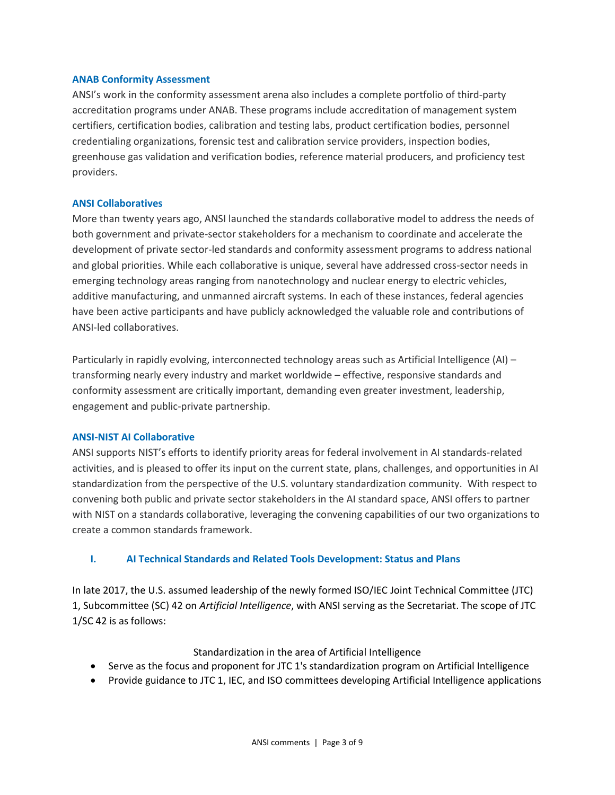## **ANAB Conformity Assessment**

ANSI's work in the conformity assessment arena also includes a complete portfolio of third-party accreditation programs under ANAB. These programs include accreditation of management system certifiers, certification bodies, calibration and testing labs, product certification bodies, personnel credentialing organizations, forensic test and calibration service providers, inspection bodies, greenhouse gas validation and verification bodies, reference material producers, and proficiency test providers.

### **ANSI Collaboratives**

More than twenty years ago, ANSI launched the standards collaborative model to address the needs of both government and private-sector stakeholders for a mechanism to coordinate and accelerate the development of private sector-led standards and conformity assessment programs to address national and global priorities. While each collaborative is unique, several have addressed cross-sector needs in emerging technology areas ranging from nanotechnology and nuclear energy to electric vehicles, additive manufacturing, and unmanned aircraft systems. In each of these instances, federal agencies have been active participants and have publicly acknowledged the valuable role and contributions of ANSI-led collaboratives.

Particularly in rapidly evolving, interconnected technology areas such as Artificial Intelligence (AI) – transforming nearly every industry and market worldwide – effective, responsive standards and conformity assessment are critically important, demanding even greater investment, leadership, engagement and public-private partnership.

### **ANSI-NIST AI Collaborative**

ANSI supports NIST's efforts to identify priority areas for federal involvement in AI standards-related activities, and is pleased to offer its input on the current state, plans, challenges, and opportunities in AI standardization from the perspective of the U.S. voluntary standardization community. With respect to convening both public and private sector stakeholders in the AI standard space, ANSI offers to partner with NIST on a standards collaborative, leveraging the convening capabilities of our two organizations to create a common standards framework.

# **I. AI Technical Standards and Related Tools Development: Status and Plans**

In late 2017, the U.S. assumed leadership of the newly formed ISO/IEC Joint Technical Committee (JTC) 1, Subcommittee (SC) 42 on *Artificial Intelligence*, with ANSI serving as the Secretariat. The scope of JTC 1/SC 42 is as follows:

### Standardization in the area of Artificial Intelligence

- Serve as the focus and proponent for JTC 1's standardization program on Artificial Intelligence
- Provide guidance to JTC 1, IEC, and ISO committees developing Artificial Intelligence applications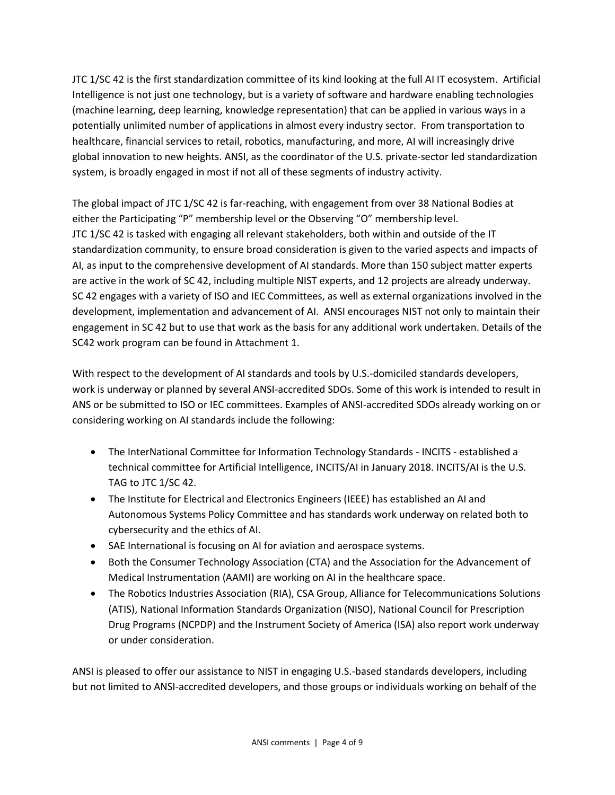JTC 1/SC 42 is the first standardization committee of its kind looking at the full AI IT ecosystem. Artificial Intelligence is not just one technology, but is a variety of software and hardware enabling technologies (machine learning, deep learning, knowledge representation) that can be applied in various ways in a potentially unlimited number of applications in almost every industry sector. From transportation to healthcare, financial services to retail, robotics, manufacturing, and more, AI will increasingly drive global innovation to new heights. ANSI, as the coordinator of the U.S. private-sector led standardization system, is broadly engaged in most if not all of these segments of industry activity.

The global impact of JTC 1/SC 42 is far-reaching, with engagement from over 38 National Bodies at either the Participating "P" membership level or the Observing "O" membership level. JTC 1/SC 42 is tasked with engaging all relevant stakeholders, both within and outside of the IT standardization community, to ensure broad consideration is given to the varied aspects and impacts of AI, as input to the comprehensive development of AI standards. More than 150 subject matter experts are active in the work of SC 42, including multiple NIST experts, and 12 projects are already underway. SC 42 engages with a variety of ISO and IEC Committees, as well as external organizations involved in the development, implementation and advancement of AI. ANSI encourages NIST not only to maintain their engagement in SC 42 but to use that work as the basis for any additional work undertaken. Details of the SC42 work program can be found in Attachment 1.

With respect to the development of AI standards and tools by U.S.-domiciled standards developers, work is underway or planned by several ANSI-accredited SDOs. Some of this work is intended to result in ANS or be submitted to ISO or IEC committees. Examples of ANSI-accredited SDOs already working on or considering working on AI standards include the following:

- The InterNational Committee for Information Technology Standards INCITS established a technical committee for Artificial Intelligence, INCITS/AI in January 2018. INCITS/AI is the U.S. TAG to JTC 1/SC 42.
- The Institute for Electrical and Electronics Engineers (IEEE) has established an AI and Autonomous Systems Policy Committee and has standards work underway on related both to cybersecurity and the ethics of AI.
- SAE International is focusing on AI for aviation and aerospace systems.
- Both the Consumer Technology Association (CTA) and the Association for the Advancement of Medical Instrumentation (AAMI) are working on AI in the healthcare space.
- The Robotics Industries Association (RIA), CSA Group, Alliance for Telecommunications Solutions (ATIS), National Information Standards Organization (NISO), National Council for Prescription Drug Programs (NCPDP) and the Instrument Society of America (ISA) also report work underway or under consideration.

ANSI is pleased to offer our assistance to NIST in engaging U.S.-based standards developers, including but not limited to ANSI-accredited developers, and those groups or individuals working on behalf of the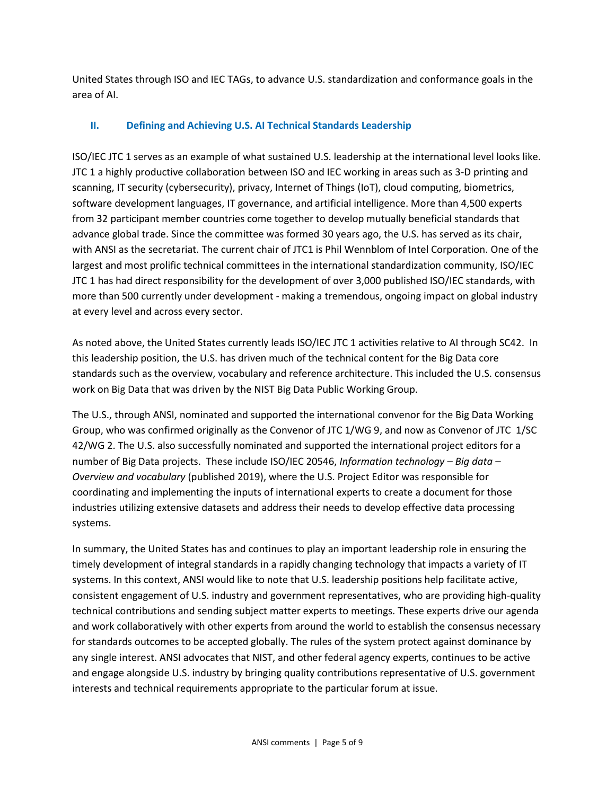United States through ISO and IEC TAGs, to advance U.S. standardization and conformance goals in the area of AI.

# **II. Defining and Achieving U.S. AI Technical Standards Leadership**

ISO/IEC JTC 1 serves as an example of what sustained U.S. leadership at the international level looks like. JTC 1 a highly productive collaboration between ISO and IEC working in areas such as 3-D printing and scanning, IT security (cybersecurity), privacy, Internet of Things (IoT), cloud computing, biometrics, software development languages, IT governance, and artificial intelligence. More than 4,500 experts from 32 participant member countries come together to develop mutually beneficial standards that advance global trade. Since the committee was formed 30 years ago, the U.S. has served as its chair, with ANSI as the secretariat. The current chair of JTC1 is Phil Wennblom of Intel Corporation. One of the largest and most prolific technical committees in the international standardization community, ISO/IEC JTC 1 has had direct responsibility for the development of over 3,000 published ISO/IEC standards, with more than 500 currently under development - making a tremendous, ongoing impact on global industry at every level and across every sector.

As noted above, the United States currently leads ISO/IEC JTC 1 activities relative to AI through SC42. In this leadership position, the U.S. has driven much of the technical content for the Big Data core standards such as the overview, vocabulary and reference architecture. This included the U.S. consensus work on Big Data that was driven by the NIST Big Data Public Working Group.

The U.S., through ANSI, nominated and supported the international convenor for the Big Data Working Group, who was confirmed originally as the Convenor of JTC 1/WG 9, and now as Convenor of JTC 1/SC 42/WG 2. The U.S. also successfully nominated and supported the international project editors for a number of Big Data projects. These include ISO/IEC 20546, *Information technology – Big data – Overview and vocabulary* (published 2019), where the U.S. Project Editor was responsible for coordinating and implementing the inputs of international experts to create a document for those industries utilizing extensive datasets and address their needs to develop effective data processing systems.

In summary, the United States has and continues to play an important leadership role in ensuring the timely development of integral standards in a rapidly changing technology that impacts a variety of IT systems. In this context, ANSI would like to note that U.S. leadership positions help facilitate active, consistent engagement of U.S. industry and government representatives, who are providing high-quality technical contributions and sending subject matter experts to meetings. These experts drive our agenda and work collaboratively with other experts from around the world to establish the consensus necessary for standards outcomes to be accepted globally. The rules of the system protect against dominance by any single interest. ANSI advocates that NIST, and other federal agency experts, continues to be active and engage alongside U.S. industry by bringing quality contributions representative of U.S. government interests and technical requirements appropriate to the particular forum at issue.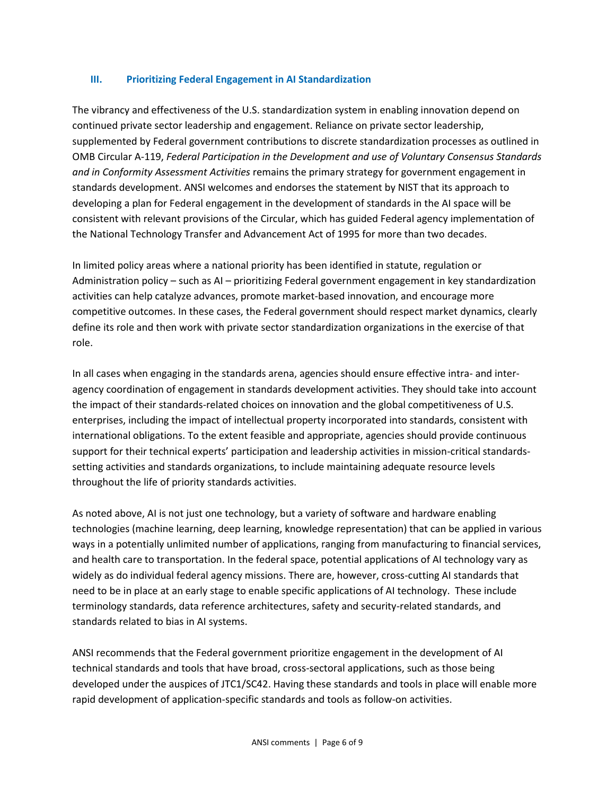# **III. Prioritizing Federal Engagement in AI Standardization**

The vibrancy and effectiveness of the U.S. standardization system in enabling innovation depend on continued private sector leadership and engagement. Reliance on private sector leadership, supplemented by Federal government contributions to discrete standardization processes as outlined in OMB Circular A-119, *Federal Participation in the Development and use of Voluntary Consensus Standards and in Conformity Assessment Activities* remains the primary strategy for government engagement in standards development. ANSI welcomes and endorses the statement by NIST that its approach to developing a plan for Federal engagement in the development of standards in the AI space will be consistent with relevant provisions of the Circular, which has guided Federal agency implementation of the National Technology Transfer and Advancement Act of 1995 for more than two decades.

In limited policy areas where a national priority has been identified in statute, regulation or Administration policy – such as AI – prioritizing Federal government engagement in key standardization activities can help catalyze advances, promote market-based innovation, and encourage more competitive outcomes. In these cases, the Federal government should respect market dynamics, clearly define its role and then work with private sector standardization organizations in the exercise of that role.

In all cases when engaging in the standards arena, agencies should ensure effective intra- and interagency coordination of engagement in standards development activities. They should take into account the impact of their standards-related choices on innovation and the global competitiveness of U.S. enterprises, including the impact of intellectual property incorporated into standards, consistent with international obligations. To the extent feasible and appropriate, agencies should provide continuous support for their technical experts' participation and leadership activities in mission-critical standardssetting activities and standards organizations, to include maintaining adequate resource levels throughout the life of priority standards activities.

As noted above, AI is not just one technology, but a variety of software and hardware enabling technologies (machine learning, deep learning, knowledge representation) that can be applied in various ways in a potentially unlimited number of applications, ranging from manufacturing to financial services, and health care to transportation. In the federal space, potential applications of AI technology vary as widely as do individual federal agency missions. There are, however, cross-cutting AI standards that need to be in place at an early stage to enable specific applications of AI technology. These include terminology standards, data reference architectures, safety and security-related standards, and standards related to bias in AI systems.

ANSI recommends that the Federal government prioritize engagement in the development of AI technical standards and tools that have broad, cross-sectoral applications, such as those being developed under the auspices of JTC1/SC42. Having these standards and tools in place will enable more rapid development of application-specific standards and tools as follow-on activities.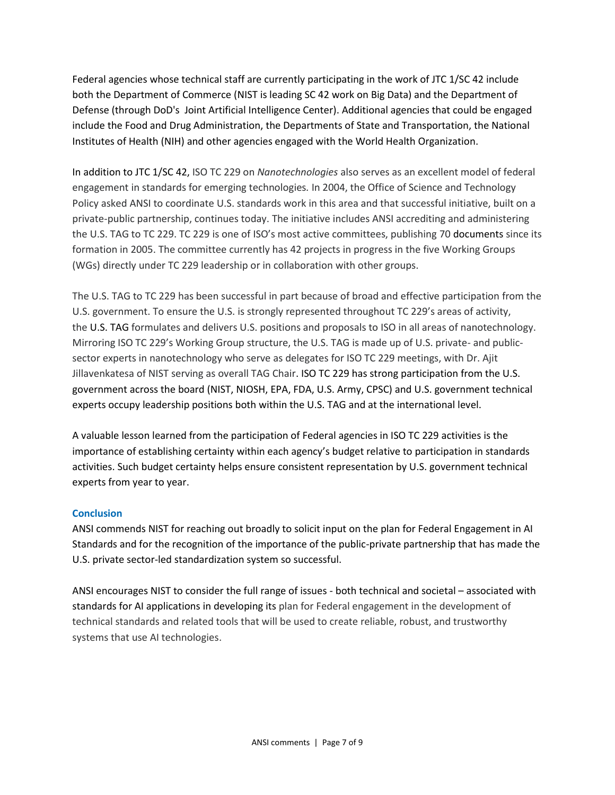Federal agencies whose technical staff are currently participating in the work of JTC 1/SC 42 include both the Department of Commerce (NIST is leading SC 42 work on Big Data) and the Department of Defense (through DoD's Joint Artificial Intelligence Center). Additional agencies that could be engaged include the Food and Drug Administration, the Departments of State and Transportation, the National Institutes of Health (NIH) and other agencies engaged with the World Health Organization.

In addition to JTC 1/SC 42, ISO TC 229 on *Nanotechnologies* also serves as an excellent model of federal engagement in standards for emerging technologies*.* In 2004, the Office of Science and Technology Policy asked ANSI to coordinate U.S. standards work in this area and that successful initiative, built on a private-public partnership, continues today. The initiative includes ANSI accrediting and administering the U.S. TAG to TC 229. TC 229 is one of ISO's most active committees, publishing 70 documents since its formation in 2005. The committee currently has 42 projects in progress in the five Working Groups (WGs) directly under TC 229 leadership or in collaboration with other groups.

The U.S. TAG to TC 229 has been successful in part because of broad and effective participation from the U.S. government. To ensure the U.S. is strongly represented throughout TC 229's areas of activity, the U.S. TAG formulates and delivers U.S. positions and proposals to ISO in all areas of nanotechnology. Mirroring ISO TC 229's Working Group structure, the U.S. TAG is made up of U.S. private- and publicsector experts in nanotechnology who serve as delegates for ISO TC 229 meetings, with Dr. Ajit Jillavenkatesa of NIST serving as overall TAG Chair. ISO TC 229 has strong participation from the U.S. government across the board (NIST, NIOSH, EPA, FDA, U.S. Army, CPSC) and U.S. government technical experts occupy leadership positions both within the U.S. TAG and at the international level.

A valuable lesson learned from the participation of Federal agencies in ISO TC 229 activities is the importance of establishing certainty within each agency's budget relative to participation in standards activities. Such budget certainty helps ensure consistent representation by U.S. government technical experts from year to year.

# **Conclusion**

ANSI commends NIST for reaching out broadly to solicit input on the plan for Federal Engagement in AI Standards and for the recognition of the importance of the public-private partnership that has made the U.S. private sector-led standardization system so successful.

ANSI encourages NIST to consider the full range of issues - both technical and societal – associated with standards for AI applications in developing its plan for Federal engagement in the development of technical standards and related tools that will be used to create reliable, robust, and trustworthy systems that use AI technologies.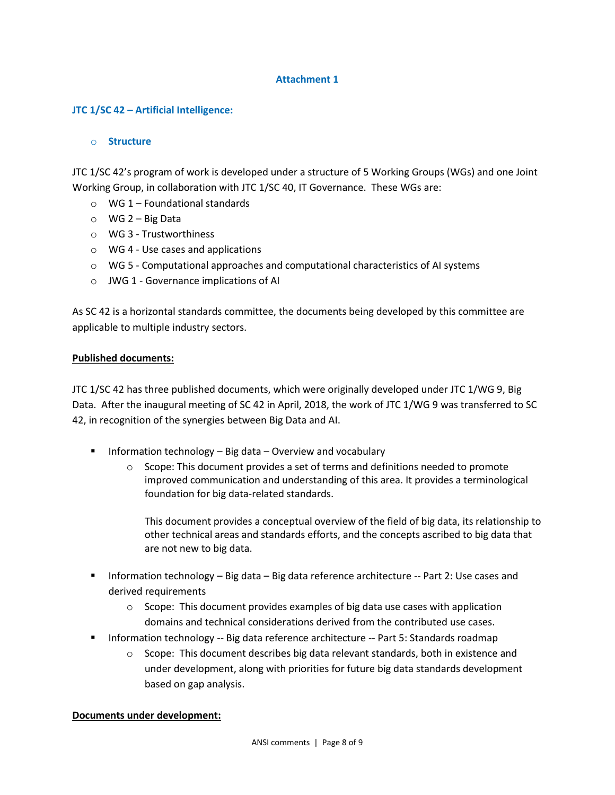# **Attachment 1**

# **JTC 1/SC 42 – Artificial Intelligence:**

## o **Structure**

JTC 1/SC 42's program of work is developed under a structure of 5 Working Groups (WGs) and one Joint Working Group, in collaboration with JTC 1/SC 40, IT Governance. These WGs are:

- $\circ$  WG 1 Foundational standards
- $\circ$  WG 2 Big Data
- o WG 3 Trustworthiness
- o WG 4 Use cases and applications
- $\circ$  WG 5 Computational approaches and computational characteristics of AI systems
- o JWG 1 Governance implications of AI

As SC 42 is a horizontal standards committee, the documents being developed by this committee are applicable to multiple industry sectors.

## **Published documents:**

JTC 1/SC 42 has three published documents, which were originally developed under JTC 1/WG 9, Big Data. After the inaugural meeting of SC 42 in April, 2018, the work of JTC 1/WG 9 was transferred to SC 42, in recognition of the synergies between Big Data and AI.

- **Information technology Big data Overview and vocabulary** 
	- $\circ$  Scope: This document provides a set of terms and definitions needed to promote improved communication and understanding of this area. It provides a terminological foundation for big data-related standards.

This document provides a conceptual overview of the field of big data, its relationship to other technical areas and standards efforts, and the concepts ascribed to big data that are not new to big data.

- Information technology Big data Big data reference architecture -- Part 2: Use cases and derived requirements
	- o Scope: This document provides examples of big data use cases with application domains and technical considerations derived from the contributed use cases.
- Information technology -- Big data reference architecture -- Part 5: Standards roadmap
	- $\circ$  Scope: This document describes big data relevant standards, both in existence and under development, along with priorities for future big data standards development based on gap analysis.

### **Documents under development:**